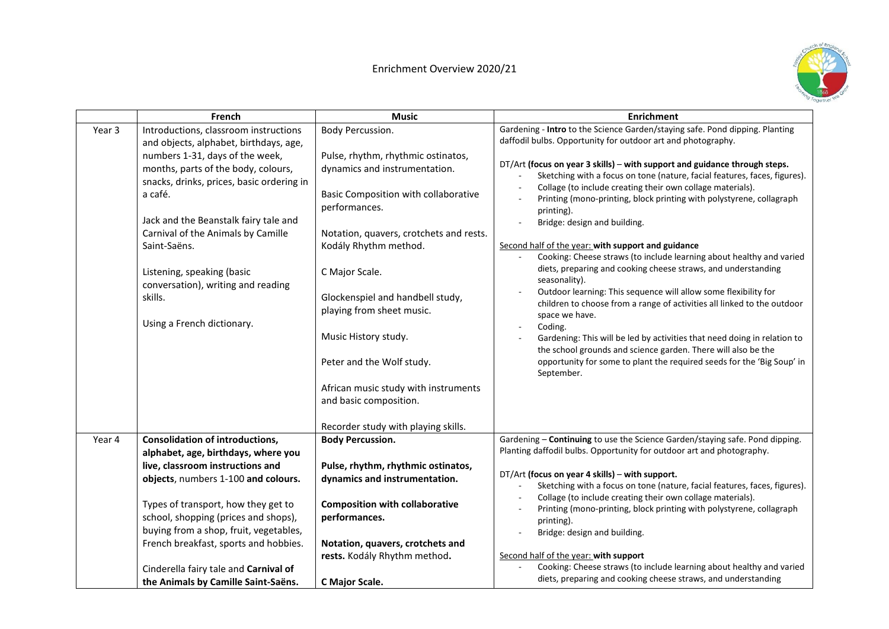## Enrichment Overview 2020/21



|        | French                                                                                                                                                                                                                                                                                                                                     | <b>Music</b>                                                                                                                                                                                                                                                                                                                                                                     | <b>Enrichment</b>                                                                                                                                                                                                                                                                                                                                                                                                                                                                                                                                                                                                                                                                                                                                                                                                                                                                                                                                                                                                                   |
|--------|--------------------------------------------------------------------------------------------------------------------------------------------------------------------------------------------------------------------------------------------------------------------------------------------------------------------------------------------|----------------------------------------------------------------------------------------------------------------------------------------------------------------------------------------------------------------------------------------------------------------------------------------------------------------------------------------------------------------------------------|-------------------------------------------------------------------------------------------------------------------------------------------------------------------------------------------------------------------------------------------------------------------------------------------------------------------------------------------------------------------------------------------------------------------------------------------------------------------------------------------------------------------------------------------------------------------------------------------------------------------------------------------------------------------------------------------------------------------------------------------------------------------------------------------------------------------------------------------------------------------------------------------------------------------------------------------------------------------------------------------------------------------------------------|
| Year 3 | Introductions, classroom instructions<br>and objects, alphabet, birthdays, age,                                                                                                                                                                                                                                                            | Body Percussion.                                                                                                                                                                                                                                                                                                                                                                 | Gardening - Intro to the Science Garden/staying safe. Pond dipping. Planting<br>daffodil bulbs. Opportunity for outdoor art and photography.                                                                                                                                                                                                                                                                                                                                                                                                                                                                                                                                                                                                                                                                                                                                                                                                                                                                                        |
|        | numbers 1-31, days of the week,<br>months, parts of the body, colours,<br>snacks, drinks, prices, basic ordering in<br>a café.<br>Jack and the Beanstalk fairy tale and<br>Carnival of the Animals by Camille<br>Saint-Saëns.<br>Listening, speaking (basic<br>conversation), writing and reading<br>skills.<br>Using a French dictionary. | Pulse, rhythm, rhythmic ostinatos,<br>dynamics and instrumentation.<br>Basic Composition with collaborative<br>performances.<br>Notation, quavers, crotchets and rests.<br>Kodály Rhythm method.<br>C Major Scale.<br>Glockenspiel and handbell study,<br>playing from sheet music.<br>Music History study.<br>Peter and the Wolf study.<br>African music study with instruments | DT/Art (focus on year 3 skills) - with support and guidance through steps.<br>Sketching with a focus on tone (nature, facial features, faces, figures).<br>Collage (to include creating their own collage materials).<br>$\overline{\phantom{a}}$<br>Printing (mono-printing, block printing with polystyrene, collagraph<br>printing).<br>Bridge: design and building.<br>Second half of the year: with support and guidance<br>Cooking: Cheese straws (to include learning about healthy and varied<br>diets, preparing and cooking cheese straws, and understanding<br>seasonality).<br>Outdoor learning: This sequence will allow some flexibility for<br>children to choose from a range of activities all linked to the outdoor<br>space we have.<br>Coding.<br>$\overline{\phantom{a}}$<br>Gardening: This will be led by activities that need doing in relation to<br>the school grounds and science garden. There will also be the<br>opportunity for some to plant the required seeds for the 'Big Soup' in<br>September. |
|        |                                                                                                                                                                                                                                                                                                                                            | and basic composition.<br>Recorder study with playing skills.                                                                                                                                                                                                                                                                                                                    |                                                                                                                                                                                                                                                                                                                                                                                                                                                                                                                                                                                                                                                                                                                                                                                                                                                                                                                                                                                                                                     |
| Year 4 | <b>Consolidation of introductions,</b><br>alphabet, age, birthdays, where you<br>live, classroom instructions and<br>objects, numbers 1-100 and colours.                                                                                                                                                                                   | <b>Body Percussion.</b><br>Pulse, rhythm, rhythmic ostinatos,<br>dynamics and instrumentation.                                                                                                                                                                                                                                                                                   | Gardening - Continuing to use the Science Garden/staying safe. Pond dipping.<br>Planting daffodil bulbs. Opportunity for outdoor art and photography.<br>DT/Art (focus on year 4 skills) - with support.<br>Sketching with a focus on tone (nature, facial features, faces, figures).                                                                                                                                                                                                                                                                                                                                                                                                                                                                                                                                                                                                                                                                                                                                               |
|        | Types of transport, how they get to<br>school, shopping (prices and shops),<br>buying from a shop, fruit, vegetables,<br>French breakfast, sports and hobbies.<br>Cinderella fairy tale and Carnival of                                                                                                                                    | <b>Composition with collaborative</b><br>performances.<br>Notation, quavers, crotchets and<br>rests. Kodály Rhythm method.                                                                                                                                                                                                                                                       | Collage (to include creating their own collage materials).<br>Printing (mono-printing, block printing with polystyrene, collagraph<br>printing).<br>Bridge: design and building.<br>Second half of the year: with support<br>Cooking: Cheese straws (to include learning about healthy and varied                                                                                                                                                                                                                                                                                                                                                                                                                                                                                                                                                                                                                                                                                                                                   |
|        | the Animals by Camille Saint-Saëns.                                                                                                                                                                                                                                                                                                        | C Major Scale.                                                                                                                                                                                                                                                                                                                                                                   | diets, preparing and cooking cheese straws, and understanding                                                                                                                                                                                                                                                                                                                                                                                                                                                                                                                                                                                                                                                                                                                                                                                                                                                                                                                                                                       |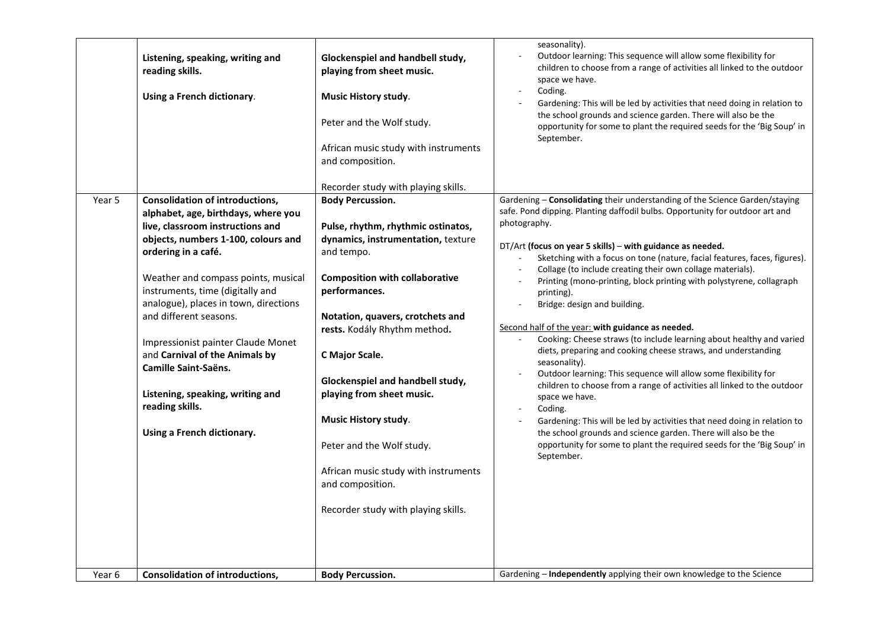|        | Listening, speaking, writing and<br>reading skills.<br>Using a French dictionary.                                                                                                                                                                                                                                                                                                                                                                                                                                  | Glockenspiel and handbell study,<br>playing from sheet music.<br><b>Music History study.</b><br>Peter and the Wolf study.<br>African music study with instruments<br>and composition.<br>Recorder study with playing skills.                                                                                                                                                                                                                                                                      | seasonality).<br>Outdoor learning: This sequence will allow some flexibility for<br>children to choose from a range of activities all linked to the outdoor<br>space we have.<br>Coding.<br>Gardening: This will be led by activities that need doing in relation to<br>the school grounds and science garden. There will also be the<br>opportunity for some to plant the required seeds for the 'Big Soup' in<br>September.                                                                                                                                                                                                                                                                                                                                                                                                                                                                                                                                                                                                                                                                                                             |
|--------|--------------------------------------------------------------------------------------------------------------------------------------------------------------------------------------------------------------------------------------------------------------------------------------------------------------------------------------------------------------------------------------------------------------------------------------------------------------------------------------------------------------------|---------------------------------------------------------------------------------------------------------------------------------------------------------------------------------------------------------------------------------------------------------------------------------------------------------------------------------------------------------------------------------------------------------------------------------------------------------------------------------------------------|-------------------------------------------------------------------------------------------------------------------------------------------------------------------------------------------------------------------------------------------------------------------------------------------------------------------------------------------------------------------------------------------------------------------------------------------------------------------------------------------------------------------------------------------------------------------------------------------------------------------------------------------------------------------------------------------------------------------------------------------------------------------------------------------------------------------------------------------------------------------------------------------------------------------------------------------------------------------------------------------------------------------------------------------------------------------------------------------------------------------------------------------|
| Year 5 | <b>Consolidation of introductions,</b><br>alphabet, age, birthdays, where you<br>live, classroom instructions and<br>objects, numbers 1-100, colours and<br>ordering in a café.<br>Weather and compass points, musical<br>instruments, time (digitally and<br>analogue), places in town, directions<br>and different seasons.<br>Impressionist painter Claude Monet<br>and Carnival of the Animals by<br>Camille Saint-Saëns.<br>Listening, speaking, writing and<br>reading skills.<br>Using a French dictionary. | <b>Body Percussion.</b><br>Pulse, rhythm, rhythmic ostinatos,<br>dynamics, instrumentation, texture<br>and tempo.<br><b>Composition with collaborative</b><br>performances.<br>Notation, quavers, crotchets and<br>rests. Kodály Rhythm method.<br>C Major Scale.<br>Glockenspiel and handbell study,<br>playing from sheet music.<br><b>Music History study.</b><br>Peter and the Wolf study.<br>African music study with instruments<br>and composition.<br>Recorder study with playing skills. | Gardening - Consolidating their understanding of the Science Garden/staying<br>safe. Pond dipping. Planting daffodil bulbs. Opportunity for outdoor art and<br>photography.<br>DT/Art (focus on year 5 skills) – with guidance as needed.<br>Sketching with a focus on tone (nature, facial features, faces, figures).<br>Collage (to include creating their own collage materials).<br>Printing (mono-printing, block printing with polystyrene, collagraph<br>printing).<br>Bridge: design and building.<br>Second half of the year: with guidance as needed.<br>Cooking: Cheese straws (to include learning about healthy and varied<br>diets, preparing and cooking cheese straws, and understanding<br>seasonality).<br>Outdoor learning: This sequence will allow some flexibility for<br>children to choose from a range of activities all linked to the outdoor<br>space we have.<br>Coding.<br>Gardening: This will be led by activities that need doing in relation to<br>the school grounds and science garden. There will also be the<br>opportunity for some to plant the required seeds for the 'Big Soup' in<br>September. |
| Year 6 | <b>Consolidation of introductions,</b>                                                                                                                                                                                                                                                                                                                                                                                                                                                                             | <b>Body Percussion.</b>                                                                                                                                                                                                                                                                                                                                                                                                                                                                           | Gardening - Independently applying their own knowledge to the Science                                                                                                                                                                                                                                                                                                                                                                                                                                                                                                                                                                                                                                                                                                                                                                                                                                                                                                                                                                                                                                                                     |